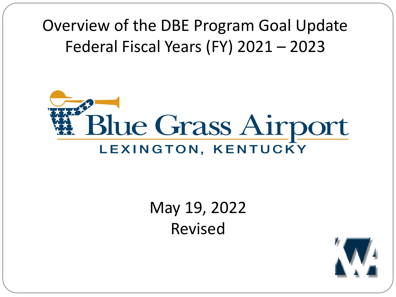Overview of the DBE Program Goal Update Federal Fiscal Years (FY) 2021 – 2023



#### May 19, 2022 Revised

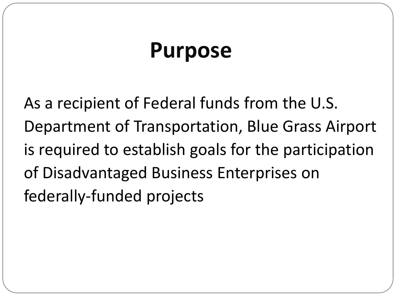### **Purpose**

As a recipient of Federal funds from the U.S. Department of Transportation, Blue Grass Airport is required to establish goals for the participation of Disadvantaged Business Enterprises on federally-funded projects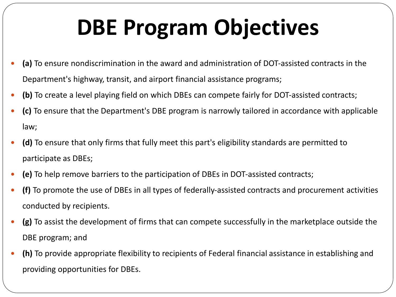# **DBE Program Objectives**

- **(a)** To ensure nondiscrimination in the award and administration of DOT-assisted contracts in the Department's highway, transit, and airport financial assistance programs;
- **(b)** To create a level playing field on which DBEs can compete fairly for DOT-assisted contracts;
- **(c)** To ensure that the Department's DBE program is narrowly tailored in accordance with applicable law;
- **(d)** To ensure that only firms that fully meet this part's eligibility standards are permitted to participate as DBEs;
- **(e)** To help remove barriers to the participation of DBEs in DOT-assisted contracts;
- **(f)** To promote the use of DBEs in all types of federally-assisted contracts and procurement activities conducted by recipients.
- **(g)** To assist the development of firms that can compete successfully in the marketplace outside the DBE program; and
- **(h)** To provide appropriate flexibility to recipients of Federal financial assistance in establishing and providing opportunities for DBEs.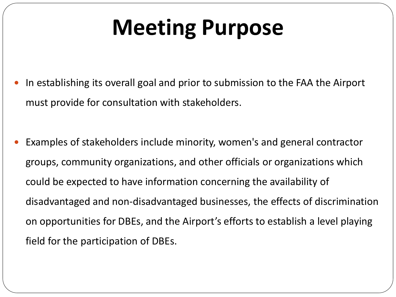# **Meeting Purpose**

- In establishing its overall goal and prior to submission to the FAA the Airport must provide for consultation with stakeholders.
- Examples of stakeholders include minority, women's and general contractor groups, community organizations, and other officials or organizations which could be expected to have information concerning the availability of disadvantaged and non-disadvantaged businesses, the effects of discrimination on opportunities for DBEs, and the Airport's efforts to establish a level playing field for the participation of DBEs.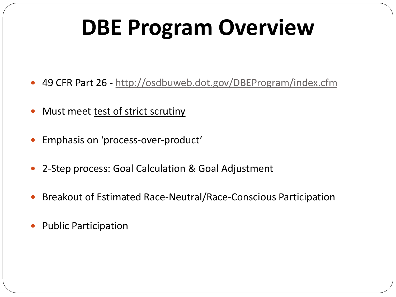# **DBE Program Overview**

- 49 CFR Part 26 http://osdbuweb.dot.gov/DBEProgram/index.cfm
- Must meet test of strict scrutiny
- Emphasis on 'process-over-product'
- 2-Step process: Goal Calculation & Goal Adjustment
- Breakout of Estimated Race-Neutral/Race-Conscious Participation
- Public Participation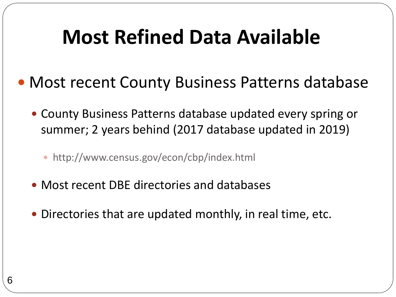#### **Most Refined Data Available**

- Most recent County Business Patterns database
	- County Business Patterns database updated every spring or summer; 2 years behind (2017 database updated in 2019)
		- http://www.census.gov/econ/cbp/index.html
	- Most recent DBE directories and databases
	- Directories that are updated monthly, in real time, etc.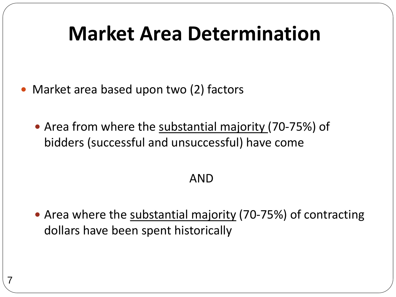#### **Market Area Determination**

- Market area based upon two (2) factors
	- Area from where the substantial majority (70-75%) of bidders (successful and unsuccessful) have come

#### AND

 Area where the substantial majority (70-75%) of contracting dollars have been spent historically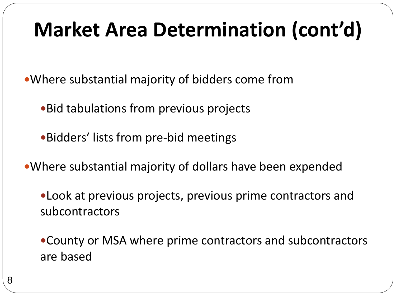### **Market Area Determination (cont'd)**

Where substantial majority of bidders come from

- Bid tabulations from previous projects
- Bidders' lists from pre-bid meetings
- Where substantial majority of dollars have been expended

Look at previous projects, previous prime contractors and subcontractors

County or MSA where prime contractors and subcontractors are based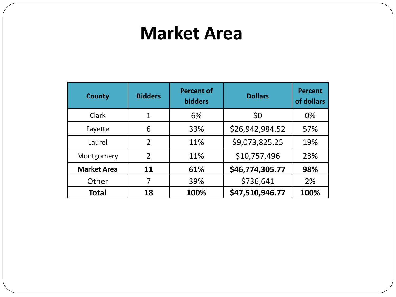#### **Market Area**

| <b>County</b>      | <b>Bidders</b> | <b>Percent of</b><br><b>bidders</b> | <b>Dollars</b>  | <b>Percent</b><br>of dollars |
|--------------------|----------------|-------------------------------------|-----------------|------------------------------|
| Clark              | 1              | 6%                                  | \$0             | 0%                           |
| Fayette            | 6              | 33%                                 | \$26,942,984.52 | 57%                          |
| Laurel             | $\overline{2}$ | 11%                                 | \$9,073,825.25  | 19%                          |
| Montgomery         | $\overline{2}$ | 11%                                 | \$10,757,496    | 23%                          |
| <b>Market Area</b> | 11             | 61%                                 | \$46,774,305.77 | 98%                          |
| Other              |                | 39%                                 | \$736,641       | 2%                           |
| <b>Total</b>       | 18             | 100%                                | \$47,510,946.77 | 100%                         |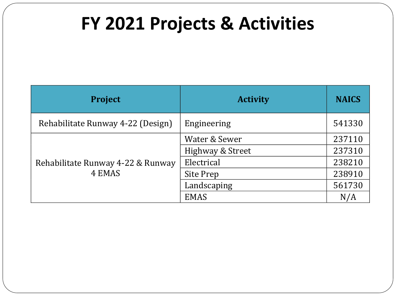#### **FY 2021 Projects & Activities**

| <b>Project</b>                    | <b>Activity</b>  | <b>NAICS</b> |
|-----------------------------------|------------------|--------------|
| Rehabilitate Runway 4-22 (Design) | Engineering      | 541330       |
|                                   | Water & Sewer    | 237110       |
|                                   | Highway & Street | 237310       |
| Rehabilitate Runway 4-22 & Runway | Electrical       | 238210       |
| 4 EMAS                            | Site Prep        | 238910       |
|                                   | Landscaping      | 561730       |
|                                   | <b>EMAS</b>      | N/A          |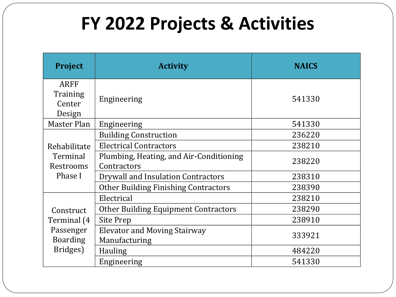#### **FY 2022 Projects & Activities**

| Project                      | <b>Activity</b>                                        | <b>NAICS</b> |
|------------------------------|--------------------------------------------------------|--------------|
| <b>ARFF</b><br>Training      |                                                        |              |
| Center<br>Design             | Engineering                                            | 541330       |
| Master Plan                  | Engineering                                            | 541330       |
|                              | <b>Building Construction</b>                           | 236220       |
| Rehabilitate                 | <b>Electrical Contractors</b>                          | 238210       |
| Terminal<br>Restrooms        | Plumbing, Heating, and Air-Conditioning<br>Contractors | 238220       |
| Phase I                      | Drywall and Insulation Contractors                     | 238310       |
|                              | <b>Other Building Finishing Contractors</b>            | 238390       |
|                              | Electrical                                             | 238210       |
| Construct                    | <b>Other Building Equipment Contractors</b>            | 238290       |
| Terminal (4                  | Site Prep                                              | 238910       |
| Passenger<br><b>Boarding</b> | <b>Elevator and Moving Stairway</b><br>Manufacturing   | 333921       |
| Bridges)                     | <b>Hauling</b>                                         | 484220       |
|                              | Engineering                                            | 541330       |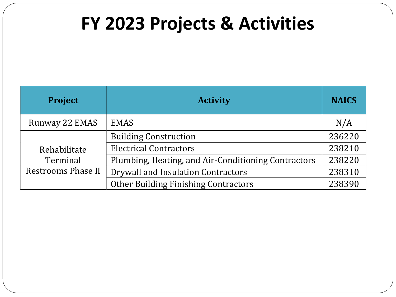#### **FY 2023 Projects & Activities**

| <b>Project</b>            | <b>Activity</b>                                     | <b>NAICS</b> |
|---------------------------|-----------------------------------------------------|--------------|
| Runway 22 EMAS            | <b>EMAS</b>                                         | N/A          |
|                           | <b>Building Construction</b>                        | 236220       |
| Rehabilitate              | <b>Electrical Contractors</b>                       | 238210       |
| Terminal                  | Plumbing, Heating, and Air-Conditioning Contractors | 238220       |
| <b>Restrooms Phase II</b> | Drywall and Insulation Contractors                  | 238310       |
|                           | <b>Other Building Finishing Contractors</b>         | 238390       |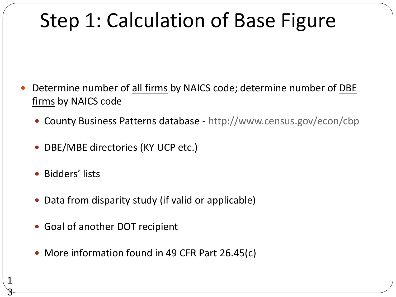#### Step 1: Calculation of Base Figure

- Determine number of all firms by NAICS code; determine number of DBE firms by NAICS code
	- County Business Patterns database http://www.census.gov/econ/cbp
	- DBE/MBE directories (KY UCP etc.)
	- Bidders' lists

1

3

- Data from disparity study (if valid or applicable)
- Goal of another DOT recipient
- More information found in 49 CFR Part 26.45(c)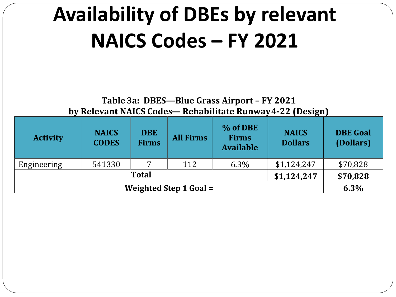**Table 3a: DBES—Blue Grass Airport – FY 2021 by Relevant NAICS Codes— Rehabilitate Runway 4-22 (Design)**

| <b>Activity</b> | <b>NAICS</b><br><b>CODES</b> | <b>DBE</b><br><b>Firms</b> | <b>All Firms</b> | % of DBE<br><b>Firms</b><br><b>Available</b> | <b>NAICS</b><br><b>Dollars</b> | <b>DBE Goal</b><br>(Dollars) |
|-----------------|------------------------------|----------------------------|------------------|----------------------------------------------|--------------------------------|------------------------------|
| Engineering     | 541330                       |                            | 112              | $6.3\%$                                      | \$1,124,247                    | \$70,828                     |
|                 |                              | <b>Total</b>               |                  |                                              | \$1,124,247                    | \$70,828                     |
|                 | 6.3%                         |                            |                  |                                              |                                |                              |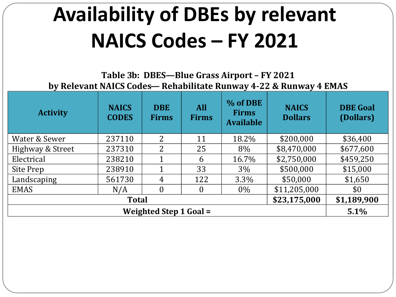**Table 3b: DBES—Blue Grass Airport – FY 2021 by Relevant NAICS Codes— Rehabilitate Runway 4-22 & Runway 4 EMAS**

| <b>Activity</b>  | <b>NAICS</b><br><b>CODES</b> | <b>DBE</b><br><b>Firms</b>    | <b>All</b><br><b>Firms</b> | % of DBE<br><b>Firms</b><br><b>Available</b> | <b>NAICS</b><br><b>Dollars</b> | <b>DBE</b> Goal<br>(Dollars) |
|------------------|------------------------------|-------------------------------|----------------------------|----------------------------------------------|--------------------------------|------------------------------|
| Water & Sewer    | 237110                       | 2                             | 11                         | 18.2%                                        | \$200,000                      | \$36,400                     |
| Highway & Street | 237310                       | $\overline{2}$                | 25                         | 8%                                           | \$8,470,000                    | \$677,600                    |
| Electrical       | 238210                       | 1                             | 6                          | 16.7%                                        | \$2,750,000                    | \$459,250                    |
| Site Prep        | 238910                       | 1                             | 33                         | $3\%$                                        | \$500,000                      | \$15,000                     |
| Landscaping      | 561730                       | 4                             | 122                        | 3.3%                                         | \$50,000                       | \$1,650                      |
| <b>EMAS</b>      | N/A                          | $\theta$                      | $\Omega$                   | $0\%$                                        | \$11,205,000                   | \$0                          |
|                  | \$1,189,900                  |                               |                            |                                              |                                |                              |
|                  |                              | <b>Weighted Step 1 Goal =</b> |                            |                                              |                                | 5.1%                         |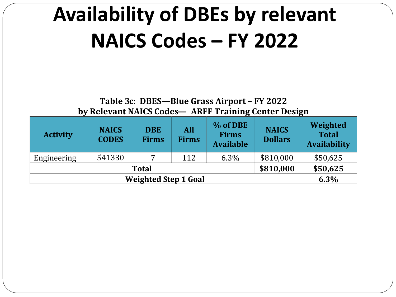**Table 3c: DBES—Blue Grass Airport – FY 2022 by Relevant NAICS Codes— ARFF Training Center Design**

| <b>Activity</b> | <b>NAICS</b><br><b>CODES</b> | <b>DBE</b><br><b>Firms</b> | <b>All</b><br><b>Firms</b> | % of DBE<br><b>Firms</b><br><b>Available</b> | <b>NAICS</b><br><b>Dollars</b> | Weighted<br><b>Total</b><br><b>Availability</b> |
|-----------------|------------------------------|----------------------------|----------------------------|----------------------------------------------|--------------------------------|-------------------------------------------------|
| Engineering     | 541330                       |                            | 112                        | 6.3%                                         | \$810,000                      | \$50,625                                        |
|                 | \$50,625                     |                            |                            |                                              |                                |                                                 |
|                 | 6.3%                         |                            |                            |                                              |                                |                                                 |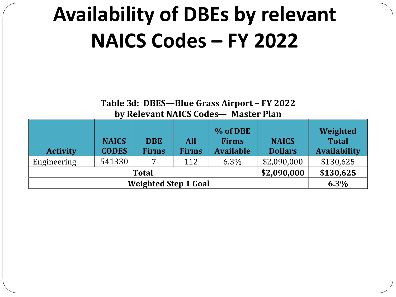**Table 3d: DBES—Blue Grass Airport – FY 2022 by Relevant NAICS Codes— Master Plan**

| <b>Activity</b> | <b>NAICS</b><br><b>CODES</b> | <b>DBE</b><br><b>Firms</b> | <b>All</b><br><b>Firms</b> | % of DBE<br><b>Firms</b><br><b>Available</b> | <b>NAICS</b><br><b>Dollars</b> | Weighted<br><b>Total</b><br><b>Availability</b> |
|-----------------|------------------------------|----------------------------|----------------------------|----------------------------------------------|--------------------------------|-------------------------------------------------|
| Engineering     | 541330                       | ⇁                          | 112                        | $6.3\%$                                      | \$2,090,000                    | \$130,625                                       |
|                 | \$130,625                    |                            |                            |                                              |                                |                                                 |
|                 | 6.3%                         |                            |                            |                                              |                                |                                                 |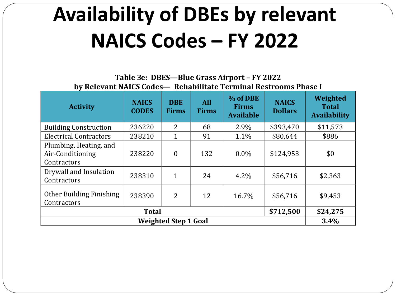**Table 3e: DBES—Blue Grass Airport – FY 2022 by Relevant NAICS Codes— Rehabilitate Terminal Restrooms Phase I**

| <b>Activity</b>                                           | <b>NAICS</b><br><b>CODES</b> | <b>DBE</b><br><b>Firms</b>  | <b>All</b><br><b>Firms</b> | % of DBE<br><b>Firms</b><br><b>Available</b> | <b>NAICS</b><br><b>Dollars</b> | Weighted<br><b>Total</b><br><b>Availability</b> |
|-----------------------------------------------------------|------------------------------|-----------------------------|----------------------------|----------------------------------------------|--------------------------------|-------------------------------------------------|
| <b>Building Construction</b>                              | 236220                       | $\overline{2}$              | 68                         | 2.9%                                         | \$393,470                      | \$11,573                                        |
| <b>Electrical Contractors</b>                             | 238210                       | $\mathbf{1}$                | 91                         | $1.1\%$                                      | \$80,644                       | \$886                                           |
| Plumbing, Heating, and<br>Air-Conditioning<br>Contractors | 238220                       | $\boldsymbol{0}$            | 132                        | $0.0\%$                                      | \$124,953                      | \$0                                             |
| Drywall and Insulation<br>Contractors                     | 238310                       | $\mathbf{1}$                | 24                         | 4.2%                                         | \$56,716                       | \$2,363                                         |
| Other Building Finishing<br>Contractors                   | 238390                       | $\overline{2}$              | 12                         | 16.7%                                        | \$56,716                       | \$9,453                                         |
|                                                           | <b>Total</b>                 |                             |                            |                                              | \$712,500                      | \$24,275                                        |
|                                                           |                              | <b>Weighted Step 1 Goal</b> |                            |                                              |                                | 3.4%                                            |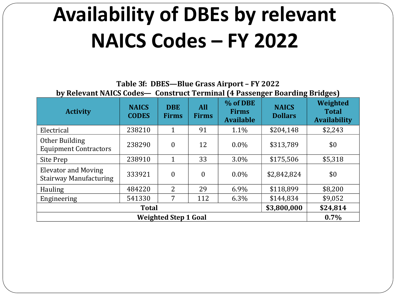**Table 3f: DBES—Blue Grass Airport – FY 2022 by Relevant NAICS Codes— Construct Terminal (4 Passenger Boarding Bridges)**

| <b>Activity</b>                                             | <b>NAICS</b><br><b>CODES</b> | <b>DBE</b><br><b>Firms</b> | <b>All</b><br><b>Firms</b> | % of DBE<br><b>Firms</b><br><b>Available</b> | <b>NAICS</b><br><b>Dollars</b> | Weighted<br><b>Total</b><br><b>Availability</b> |
|-------------------------------------------------------------|------------------------------|----------------------------|----------------------------|----------------------------------------------|--------------------------------|-------------------------------------------------|
| Electrical                                                  | 238210                       | 1                          | 91                         | 1.1%                                         | \$204,148                      | \$2,243                                         |
| Other Building<br><b>Equipment Contractors</b>              | 238290                       | $\theta$                   | 12                         | $0.0\%$                                      | \$313,789                      | \$0                                             |
| Site Prep                                                   | 238910                       | 1                          | 33                         | 3.0%                                         | \$175,506                      | \$5,318                                         |
| <b>Elevator and Moving</b><br><b>Stairway Manufacturing</b> | 333921                       | $\theta$                   | $\mathbf{0}$               | $0.0\%$                                      | \$2,842,824                    | \$0                                             |
| <b>Hauling</b>                                              | 484220                       | 2                          | 29                         | 6.9%                                         | \$118,899                      | \$8,200                                         |
| Engineering                                                 | 541330                       | 7                          | 112                        | 6.3%                                         | \$144,834                      | \$9,052                                         |
|                                                             | \$24,814                     |                            |                            |                                              |                                |                                                 |
|                                                             | 0.7%                         |                            |                            |                                              |                                |                                                 |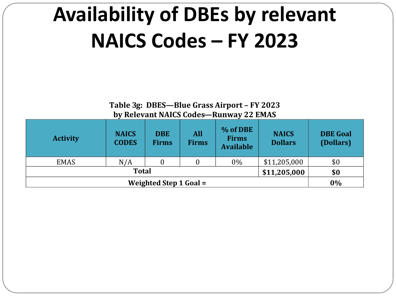**Table 3g: DBES—Blue Grass Airport – FY 2023 by Relevant NAICS Codes—Runway 22 EMAS**

| <b>Activity</b> | <b>NAICS</b><br><b>CODES</b> | <b>DBE</b><br><b>Firms</b> | All<br><b>Firms</b> | % of DBE<br><b>Firms</b><br><b>Available</b> | <b>NAICS</b><br><b>Dollars</b> | <b>DBE</b> Goal<br>(Dollars) |
|-----------------|------------------------------|----------------------------|---------------------|----------------------------------------------|--------------------------------|------------------------------|
| <b>EMAS</b>     | N/A                          |                            |                     | $0\%$                                        | \$11,205,000                   | \$0                          |
|                 | <b>Total</b>                 |                            |                     |                                              | \$11,205,000                   | \$0                          |
|                 | 0%                           |                            |                     |                                              |                                |                              |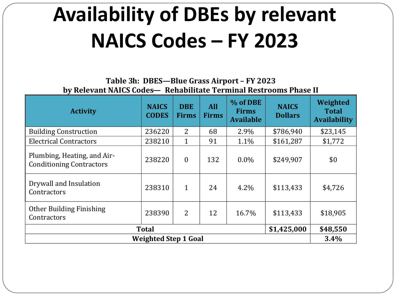**Table 3h: DBES—Blue Grass Airport – FY 2023 by Relevant NAICS Codes— Rehabilitate Terminal Restrooms Phase II**

| <b>Activity</b>                                                | <b>NAICS</b><br><b>CODES</b> | <b>DBE</b><br><b>Firms</b> | <b>All</b><br><b>Firms</b> | % of DBE<br><b>Firms</b><br><b>Available</b> | <b>NAICS</b><br><b>Dollars</b> | Weighted<br><b>Total</b><br><b>Availability</b> |  |  |  |
|----------------------------------------------------------------|------------------------------|----------------------------|----------------------------|----------------------------------------------|--------------------------------|-------------------------------------------------|--|--|--|
| <b>Building Construction</b>                                   | 236220                       | 2                          | 68                         | 2.9%                                         | \$786,940                      | \$23,145                                        |  |  |  |
| <b>Electrical Contractors</b>                                  | 238210                       | $\mathbf{1}$               | 91                         | 1.1%                                         | \$161,287                      | \$1,772                                         |  |  |  |
| Plumbing, Heating, and Air-<br><b>Conditioning Contractors</b> | 238220                       | $\theta$                   | 132                        | $0.0\%$                                      | \$249,907                      | \$0                                             |  |  |  |
| Drywall and Insulation<br>Contractors                          | 238310                       | $\mathbf{1}$               | 24                         | 4.2%                                         | \$113,433                      | \$4,726                                         |  |  |  |
| Other Building Finishing<br>Contractors                        | 238390                       | $\overline{2}$             | 12                         | 16.7%                                        | \$113,433                      | \$18,905                                        |  |  |  |
| \$1,425,000<br><b>Total</b>                                    |                              |                            |                            |                                              |                                |                                                 |  |  |  |
|                                                                | <b>Weighted Step 1 Goal</b>  |                            |                            |                                              |                                | 3.4%                                            |  |  |  |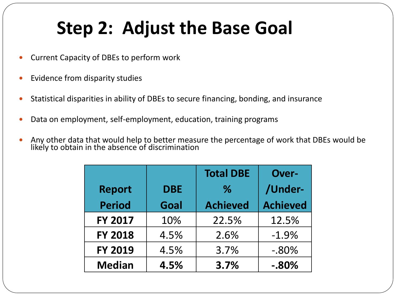#### **Step 2: Adjust the Base Goal**

- Current Capacity of DBEs to perform work
- Evidence from disparity studies
- Statistical disparities in ability of DBEs to secure financing, bonding, and insurance
- Data on employment, self-employment, education, training programs
- Any other data that would help to better measure the percentage of work that DBEs would be likely to obtain in the absence of discrimination

|                |            | <b>Total DBE</b> | <b>Over-</b>    |  |
|----------------|------------|------------------|-----------------|--|
| <b>Report</b>  | <b>DBE</b> | $\%$             | /Under-         |  |
| <b>Period</b>  | Goal       | <b>Achieved</b>  | <b>Achieved</b> |  |
| <b>FY 2017</b> | 10%        | 22.5%            | 12.5%           |  |
| <b>FY 2018</b> | 4.5%       | 2.6%             | $-1.9%$         |  |
| <b>FY 2019</b> | 4.5%       | 3.7%             | $-0.80\%$       |  |
| <b>Median</b>  | 4.5%       | 3.7%             | $-0.80\%$       |  |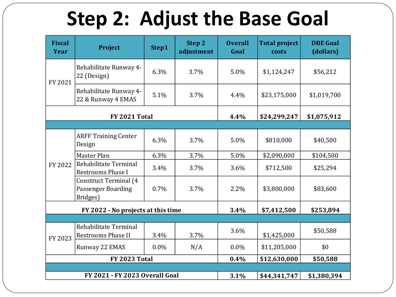### **Step 2: Adjust the Base Goal**

| <b>Fiscal</b><br>Year                 | <b>Project</b>                                                 | Step1   | Step 2<br>adjustment | <b>Overall</b><br>Goal | <b>Total project</b><br>costs | <b>DBE</b> Goal<br>(dollars) |  |
|---------------------------------------|----------------------------------------------------------------|---------|----------------------|------------------------|-------------------------------|------------------------------|--|
| FY 2021                               | Rehabilitate Runway 4-<br>22 (Design)                          | 6.3%    | 3.7%                 | 5.0%                   | \$1,124,247                   | \$56,212                     |  |
|                                       | Rehabilitate Runway 4-<br>22 & Runway 4 EMAS                   | 5.1%    | 3.7%                 | 4.4%                   | \$23,175,000                  | \$1,019,700                  |  |
| FY 2021 Total                         |                                                                |         |                      | 4.4%                   | \$24,299,247                  | \$1,075,912                  |  |
|                                       |                                                                |         |                      |                        |                               |                              |  |
| FY 2022                               | <b>ARFF Training Center</b><br>Design                          | 6.3%    | 3.7%                 | 5.0%                   | \$810,000                     | \$40,500                     |  |
|                                       | Master Plan                                                    | 6.3%    | 3.7%                 | 5.0%                   | \$2,090,000                   | \$104,500                    |  |
|                                       | Rehabilitate Terminal<br><b>Restrooms Phase I</b>              | 3.4%    | 3.7%                 | 3.6%                   | \$712,500                     | \$25,294                     |  |
|                                       | <b>Construct Terminal (4</b><br>Passenger Boarding<br>Bridges) | 0.7%    | 3.7%                 | 2.2%                   | \$3,800,000                   | \$83,600                     |  |
| FY 2022 - No projects at this time    |                                                                |         | 3.4%                 | \$7,412,500            | \$253,894                     |                              |  |
|                                       |                                                                |         |                      |                        |                               |                              |  |
| FY 2023                               | Rehabilitate Terminal<br><b>Restrooms Phase II</b>             | 3.4%    | 3.7%                 | 3.6%                   | \$1,425,000                   | \$50,588                     |  |
|                                       | Runway 22 EMAS                                                 | $0.0\%$ | N/A                  | $0.0\%$                | \$11,205,000                  | \$0                          |  |
| <b>FY 2023 Total</b>                  |                                                                |         | 0.4%                 | \$12,630,000           | \$50,588                      |                              |  |
|                                       |                                                                |         |                      |                        |                               |                              |  |
| <b>FY 2021 - FY 2023 Overall Goal</b> |                                                                |         | 3.1%                 | \$44,341,747           | \$1,380,394                   |                              |  |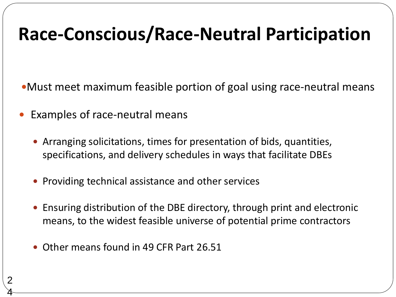#### **Race-Conscious/Race-Neutral Participation**

Must meet maximum feasible portion of goal using race-neutral means

- Examples of race-neutral means
	- Arranging solicitations, times for presentation of bids, quantities, specifications, and delivery schedules in ways that facilitate DBEs
	- Providing technical assistance and other services
	- Ensuring distribution of the DBE directory, through print and electronic means, to the widest feasible universe of potential prime contractors
	- Other means found in 49 CFR Part 26.51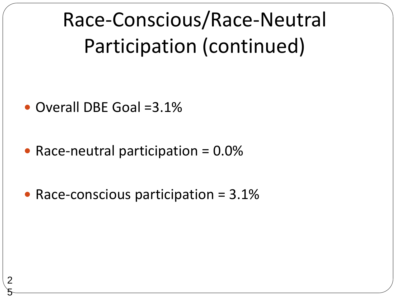Race-Conscious/Race-Neutral Participation (continued)

• Overall DBE Goal = 3.1%

2

5

- Race-neutral participation  $= 0.0\%$
- Race-conscious participation = 3.1%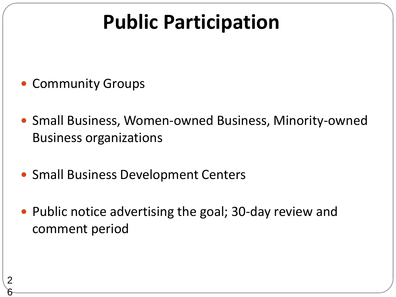### **Public Participation**

• Community Groups

2

6

- Small Business, Women-owned Business, Minority-owned Business organizations
- Small Business Development Centers
- Public notice advertising the goal; 30-day review and comment period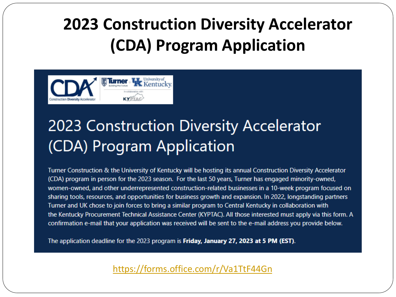#### **2023 Construction Diversity Accelerator (CDA) Program Application**



#### 2023 Construction Diversity Accelerator (CDA) Program Application

Turner Construction & the University of Kentucky will be hosting its annual Construction Diversity Accelerator (CDA) program in person for the 2023 season. For the last 50 years, Turner has engaged minority-owned, women-owned, and other underrepresented construction-related businesses in a 10-week program focused on sharing tools, resources, and opportunities for business growth and expansion. In 2022, longstanding partners Turner and UK chose to join forces to bring a similar program to Central Kentucky in collaboration with the Kentucky Procurement Technical Assistance Center (KYPTAC). All those interested must apply via this form. A confirmation e-mail that your application was received will be sent to the e-mail address you provide below.

The application deadline for the 2023 program is Friday, January 27, 2023 at 5 PM (EST).

<https://forms.office.com/r/Va1TtF44Gn>